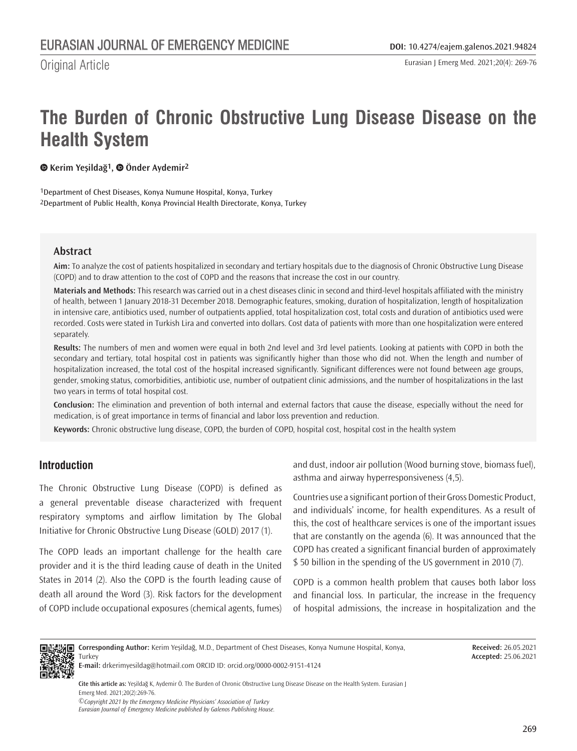Original Article

# **The Burden of Chronic Obstructive Lung Disease Disease on the Health System**

**Kerim Yeşildağ1,Önder Aydemir2**

1Department of Chest Diseases, Konya Numune Hospital, Konya, Turkey 2Department of Public Health, Konya Provincial Health Directorate, Konya, Turkey

## **Abstract**

**Aim:** To analyze the cost of patients hospitalized in secondary and tertiary hospitals due to the diagnosis of Chronic Obstructive Lung Disease (COPD) and to draw attention to the cost of COPD and the reasons that increase the cost in our country.

**Materials and Methods:** This research was carried out in a chest diseases clinic in second and third-level hospitals affiliated with the ministry of health, between 1 January 2018-31 December 2018. Demographic features, smoking, duration of hospitalization, length of hospitalization in intensive care, antibiotics used, number of outpatients applied, total hospitalization cost, total costs and duration of antibiotics used were recorded. Costs were stated in Turkish Lira and converted into dollars. Cost data of patients with more than one hospitalization were entered separately.

**Results:** The numbers of men and women were equal in both 2nd level and 3rd level patients. Looking at patients with COPD in both the secondary and tertiary, total hospital cost in patients was significantly higher than those who did not. When the length and number of hospitalization increased, the total cost of the hospital increased significantly. Significant differences were not found between age groups, gender, smoking status, comorbidities, antibiotic use, number of outpatient clinic admissions, and the number of hospitalizations in the last two years in terms of total hospital cost.

**Conclusion:** The elimination and prevention of both internal and external factors that cause the disease, especially without the need for medication, is of great importance in terms of financial and labor loss prevention and reduction.

**Keywords:** Chronic obstructive lung disease, COPD, the burden of COPD, hospital cost, hospital cost in the health system

# **Introduction**

The Chronic Obstructive Lung Disease (COPD) is defined as a general preventable disease characterized with frequent respiratory symptoms and airflow limitation by The Global Initiative for Chronic Obstructive Lung Disease (GOLD) 2017 (1).

The COPD leads an important challenge for the health care provider and it is the third leading cause of death in the United States in 2014 (2). Also the COPD is the fourth leading cause of death all around the Word (3). Risk factors for the development of COPD include occupational exposures (chemical agents, fumes) and dust, indoor air pollution (Wood burning stove, biomass fuel), asthma and airway hyperresponsiveness (4,5).

Countries use a significant portion of their Gross Domestic Product, and individuals' income, for health expenditures. As a result of this, the cost of healthcare services is one of the important issues that are constantly on the agenda (6). It was announced that the COPD has created a significant financial burden of approximately \$ 50 billion in the spending of the US government in 2010 (7).

COPD is a common health problem that causes both labor loss and financial loss. In particular, the increase in the frequency of hospital admissions, the increase in hospitalization and the



**Corresponding Author:** Kerim Yeşildağ, M.D., Department of Chest Diseases, Konya Numune Hospital, Konya, **Turkey** 

**Received:** 26.05.2021 **Accepted:** 25.06.2021

**E-mail:** drkerimyesildag@hotmail.com ORCID ID: orcid.org/0000-0002-9151-4124

**Cite this article as:** Yeşildağ K, Aydemir Ö. The Burden of Chronic Obstructive Lung Disease Disease on the Health System. Eurasian J Emerg Med. 2021;20(2):269-76.

*©Copyright 2021 by the Emergency Medicine Physicians' Association of Turkey Eurasian Journal of Emergency Medicine published by Galenos Publishing House.*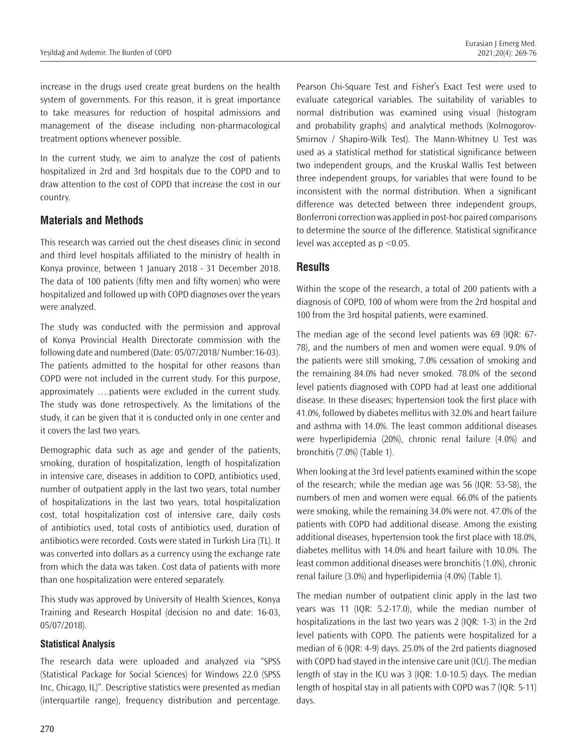increase in the drugs used create great burdens on the health system of governments. For this reason, it is great importance to take measures for reduction of hospital admissions and management of the disease including non-pharmacological treatment options whenever possible.

In the current study, we aim to analyze the cost of patients hospitalized in 2rd and 3rd hospitals due to the COPD and to draw attention to the cost of COPD that increase the cost in our country.

## **Materials and Methods**

This research was carried out the chest diseases clinic in second and third level hospitals affiliated to the ministry of health in Konya province, between 1 January 2018 - 31 December 2018. The data of 100 patients (fifty men and fifty women) who were hospitalized and followed up with COPD diagnoses over the years were analyzed.

The study was conducted with the permission and approval of Konya Provincial Health Directorate commission with the following date and numbered (Date: 05/07/2018/ Number:16-03). The patients admitted to the hospital for other reasons than COPD were not included in the current study. For this purpose, approximately ….patients were excluded in the current study. The study was done retrospectively. As the limitations of the study, it can be given that it is conducted only in one center and it covers the last two years.

Demographic data such as age and gender of the patients, smoking, duration of hospitalization, length of hospitalization in intensive care, diseases in addition to COPD, antibiotics used, number of outpatient apply in the last two years, total number of hospitalizations in the last two years, total hospitalization cost, total hospitalization cost of intensive care, daily costs of antibiotics used, total costs of antibiotics used, duration of antibiotics were recorded. Costs were stated in Turkish Lira (TL). It was converted into dollars as a currency using the exchange rate from which the data was taken. Cost data of patients with more than one hospitalization were entered separately.

This study was approved by University of Health Sciences, Konya Training and Research Hospital (decision no and date: 16-03, 05/07/2018).

#### **Statistical Analysis**

The research data were uploaded and analyzed via "SPSS (Statistical Package for Social Sciences) for Windows 22.0 (SPSS Inc, Chicago, IL)". Descriptive statistics were presented as median (interquartile range), frequency distribution and percentage.

Pearson Chi-Square Test and Fisher's Exact Test were used to evaluate categorical variables. The suitability of variables to normal distribution was examined using visual (histogram and probability graphs) and analytical methods (Kolmogorov-Smirnov / Shapiro-Wilk Test). The Mann-Whitney U Test was used as a statistical method for statistical significance between two independent groups, and the Kruskal Wallis Test between three independent groups, for variables that were found to be inconsistent with the normal distribution. When a significant difference was detected between three independent groups, Bonferroni correction was applied in post-hoc paired comparisons to determine the source of the difference. Statistical significance level was accepted as p <0.05.

## **Results**

Within the scope of the research, a total of 200 patients with a diagnosis of COPD, 100 of whom were from the 2rd hospital and 100 from the 3rd hospital patients, were examined.

The median age of the second level patients was 69 (IQR: 67- 78), and the numbers of men and women were equal. 9.0% of the patients were still smoking, 7.0% cessation of smoking and the remaining 84.0% had never smoked. 78.0% of the second level patients diagnosed with COPD had at least one additional disease. In these diseases; hypertension took the first place with 41.0%, followed by diabetes mellitus with 32.0% and heart failure and asthma with 14.0%. The least common additional diseases were hyperlipidemia (20%), chronic renal failure (4.0%) and bronchitis (7.0%) (Table 1).

When looking at the 3rd level patients examined within the scope of the research; while the median age was 56 (IQR: 53-58), the numbers of men and women were equal. 66.0% of the patients were smoking, while the remaining 34.0% were not. 47.0% of the patients with COPD had additional disease. Among the existing additional diseases, hypertension took the first place with 18.0%, diabetes mellitus with 14.0% and heart failure with 10.0%. The least common additional diseases were bronchitis (1.0%), chronic renal failure (3.0%) and hyperlipidemia (4.0%) (Table 1).

The median number of outpatient clinic apply in the last two years was 11 (IQR: 5.2-17.0), while the median number of hospitalizations in the last two years was 2 (IQR: 1-3) in the 2rd level patients with COPD. The patients were hospitalized for a median of 6 (IQR: 4-9) days. 25.0% of the 2rd patients diagnosed with COPD had stayed in the intensive care unit (ICU). The median length of stay in the ICU was 3 (IQR: 1.0-10.5) days. The median length of hospital stay in all patients with COPD was 7 (IQR: 5-11) days.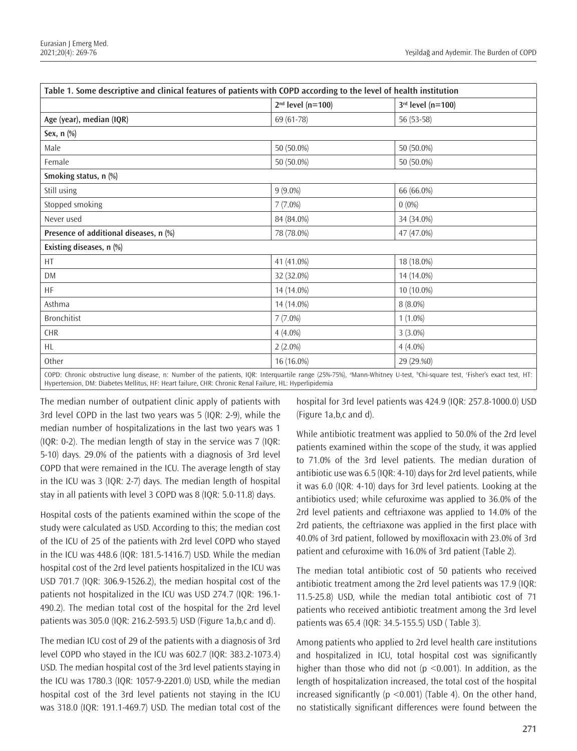|                                                                                                                                                                   | $2nd$ level (n=100) | $3rd$ level (n=100) |  |  |
|-------------------------------------------------------------------------------------------------------------------------------------------------------------------|---------------------|---------------------|--|--|
| Age (year), median (IQR)                                                                                                                                          | 69 (61-78)          | 56 (53-58)          |  |  |
| Sex, $n$ $%$                                                                                                                                                      |                     |                     |  |  |
| Male                                                                                                                                                              | 50 (50.0%)          | 50 (50.0%)          |  |  |
| Female                                                                                                                                                            | 50 (50.0%)          | 50 (50.0%)          |  |  |
| Smoking status, n (%)                                                                                                                                             |                     |                     |  |  |
| Still using                                                                                                                                                       | $9(9.0\%)$          | 66 (66.0%)          |  |  |
| Stopped smoking                                                                                                                                                   | $7(7.0\%)$          | $0(0\%)$            |  |  |
| Never used                                                                                                                                                        | 84 (84.0%)          | 34 (34.0%)          |  |  |
| Presence of additional diseases, n (%)                                                                                                                            | 78 (78.0%)          | 47 (47.0%)          |  |  |
| Existing diseases, n (%)                                                                                                                                          |                     |                     |  |  |
| HT                                                                                                                                                                | 41 (41.0%)          | 18 (18.0%)          |  |  |
| <b>DM</b>                                                                                                                                                         | 32 (32.0%)          | 14 (14.0%)          |  |  |
| <b>HF</b>                                                                                                                                                         | 14 (14.0%)          | 10 (10.0%)          |  |  |
| Asthma                                                                                                                                                            | 14 (14.0%)          | $8(8.0\%)$          |  |  |
| <b>Bronchitist</b>                                                                                                                                                | $7(7.0\%)$          | $1(1.0\%)$          |  |  |
| CHR                                                                                                                                                               | $4(4.0\%)$          | $3(3.0\%)$          |  |  |
| HL                                                                                                                                                                | $2(2.0\%)$          | $4(4.0\%)$          |  |  |
| Other                                                                                                                                                             | 16 (16.0%)          | 29 (29.%0)          |  |  |
| COPD; Chronic obstructive lung disease, n; Number of the patients JOP; Interguartile range (25%) 3Mann Whitney U test light square test. Cicher's exact test. HT; |                     |                     |  |  |

COPD: Chronic obstructive lung disease, n: Number of the patients, IQR: Interquartile range (25%-75%), ªMann-Whitney U-test, <sup>b</sup>Chi-square test, &Fisher's exact test, HT: Hypertension, DM: Diabetes Mellitus, HF: Heart failure, CHR: Chronic Renal Failure, HL: Hyperlipidemia

The median number of outpatient clinic apply of patients with 3rd level COPD in the last two years was 5 (IQR: 2-9), while the median number of hospitalizations in the last two years was 1 (IQR: 0-2). The median length of stay in the service was 7 (IQR: 5-10) days. 29.0% of the patients with a diagnosis of 3rd level COPD that were remained in the ICU. The average length of stay in the ICU was 3 (IQR: 2-7) days. The median length of hospital stay in all patients with level 3 COPD was 8 (IQR: 5.0-11.8) days.

Hospital costs of the patients examined within the scope of the study were calculated as USD. According to this; the median cost of the ICU of 25 of the patients with 2rd level COPD who stayed in the ICU was 448.6 (IQR: 181.5-1416.7) USD. While the median hospital cost of the 2rd level patients hospitalized in the ICU was USD 701.7 (IQR: 306.9-1526.2), the median hospital cost of the patients not hospitalized in the ICU was USD 274.7 (IQR: 196.1- 490.2). The median total cost of the hospital for the 2rd level patients was 305.0 (IQR: 216.2-593.5) USD (Figure 1a,b,c and d).

The median ICU cost of 29 of the patients with a diagnosis of 3rd level COPD who stayed in the ICU was 602.7 (IQR: 383.2-1073.4) USD. The median hospital cost of the 3rd level patients staying in the ICU was 1780.3 (IQR: 1057-9-2201.0) USD, while the median hospital cost of the 3rd level patients not staying in the ICU was 318.0 (IQR: 191.1-469.7) USD. The median total cost of the hospital for 3rd level patients was 424.9 (IQR: 257.8-1000.0) USD (Figure 1a,b,c and d).

While antibiotic treatment was applied to 50.0% of the 2rd level patients examined within the scope of the study, it was applied to 71.0% of the 3rd level patients. The median duration of antibiotic use was 6.5 (IQR: 4-10) days for 2rd level patients, while it was 6.0 (IQR: 4-10) days for 3rd level patients. Looking at the antibiotics used; while cefuroxime was applied to 36.0% of the 2rd level patients and ceftriaxone was applied to 14.0% of the 2rd patients, the ceftriaxone was applied in the first place with 40.0% of 3rd patient, followed by moxifloxacin with 23.0% of 3rd patient and cefuroxime with 16.0% of 3rd patient (Table 2).

The median total antibiotic cost of 50 patients who received antibiotic treatment among the 2rd level patients was 17.9 (IQR: 11.5-25.8) USD, while the median total antibiotic cost of 71 patients who received antibiotic treatment among the 3rd level patients was 65.4 (IQR: 34.5-155.5) USD ( Table 3).

Among patients who applied to 2rd level health care institutions and hospitalized in ICU, total hospital cost was significantly higher than those who did not ( $p \le 0.001$ ). In addition, as the length of hospitalization increased, the total cost of the hospital increased significantly ( $p$  <0.001) (Table 4). On the other hand, no statistically significant differences were found between the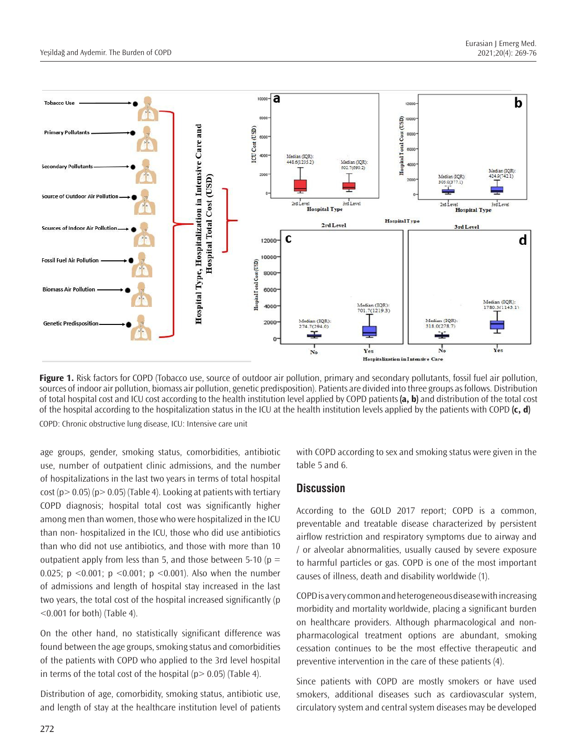

**Figure 1.** Risk factors for COPD (Tobacco use, source of outdoor air pollution, primary and secondary pollutants, fossil fuel air pollution, sources of indoor air pollution, biomass air pollution, genetic predisposition). Patients are divided into three groups as follows. Distribution of total hospital cost and ICU cost according to the health institution level applied by COPD patients **(a, b)** and distribution of the total cost of the hospital according to the hospitalization status in the ICU at the health institution levels applied by the patients with COPD **(c, d)** COPD: Chronic obstructive lung disease, ICU: Intensive care unit

age groups, gender, smoking status, comorbidities, antibiotic use, number of outpatient clinic admissions, and the number of hospitalizations in the last two years in terms of total hospital cost ( $p > 0.05$ ) ( $p > 0.05$ ) (Table 4). Looking at patients with tertiary COPD diagnosis; hospital total cost was significantly higher among men than women, those who were hospitalized in the ICU than non- hospitalized in the ICU, those who did use antibiotics than who did not use antibiotics, and those with more than 10 outpatient apply from less than 5, and those between 5-10 ( $p =$ 0.025; p <0.001; p <0.001; p <0.001). Also when the number of admissions and length of hospital stay increased in the last two years, the total cost of the hospital increased significantly (p <0.001 for both) (Table 4).

On the other hand, no statistically significant difference was found between the age groups, smoking status and comorbidities of the patients with COPD who applied to the 3rd level hospital in terms of the total cost of the hospital ( $p > 0.05$ ) (Table 4).

Distribution of age, comorbidity, smoking status, antibiotic use, and length of stay at the healthcare institution level of patients with COPD according to sex and smoking status were given in the table 5 and 6.

#### **Discussion**

According to the GOLD 2017 report; COPD is a common, preventable and treatable disease characterized by persistent airflow restriction and respiratory symptoms due to airway and / or alveolar abnormalities, usually caused by severe exposure to harmful particles or gas. COPD is one of the most important causes of illness, death and disability worldwide (1).

COPD is a very common and heterogeneous disease with increasing morbidity and mortality worldwide, placing a significant burden on healthcare providers. Although pharmacological and nonpharmacological treatment options are abundant, smoking cessation continues to be the most effective therapeutic and preventive intervention in the care of these patients (4).

Since patients with COPD are mostly smokers or have used smokers, additional diseases such as cardiovascular system, circulatory system and central system diseases may be developed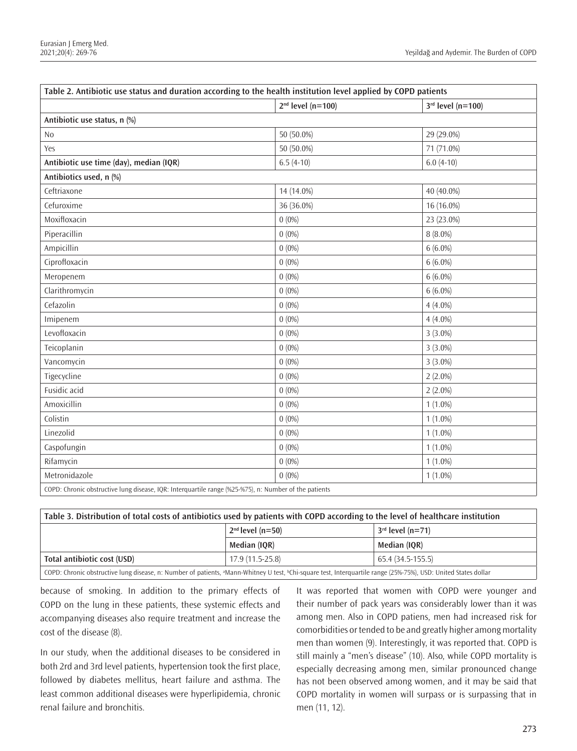| Table 2. Antibiotic use status and duration according to the health institution level applied by COPD patients |                     |                     |  |  |  |
|----------------------------------------------------------------------------------------------------------------|---------------------|---------------------|--|--|--|
|                                                                                                                | $2nd$ level (n=100) | $3rd$ level (n=100) |  |  |  |
| Antibiotic use status, n (%)                                                                                   |                     |                     |  |  |  |
| N <sub>o</sub>                                                                                                 | 50 (50.0%)          | 29 (29.0%)          |  |  |  |
| Yes                                                                                                            | 50 (50.0%)          | 71 (71.0%)          |  |  |  |
| Antibiotic use time (day), median (IQR)                                                                        | $6.5(4-10)$         | $6.0(4-10)$         |  |  |  |
| Antibiotics used, n (%)                                                                                        |                     |                     |  |  |  |
| Ceftriaxone                                                                                                    | 14 (14.0%)          | 40 (40.0%)          |  |  |  |
| Cefuroxime                                                                                                     | 36 (36.0%)          | 16 (16.0%)          |  |  |  |
| Moxifloxacin                                                                                                   | $0(0\%)$            | 23 (23.0%)          |  |  |  |
| Piperacillin                                                                                                   | $0(0\%)$            | $8(8.0\%)$          |  |  |  |
| Ampicillin                                                                                                     | $0(0\%)$            | $6(6.0\%)$          |  |  |  |
| Ciprofloxacin                                                                                                  | $0(0\%)$            | $6(6.0\%)$          |  |  |  |
| Meropenem                                                                                                      | $0(0\%)$            | $6(6.0\%)$          |  |  |  |
| Clarithromycin                                                                                                 | $0(0\%)$            | $6(6.0\%)$          |  |  |  |
| Cefazolin                                                                                                      | $0(0\%)$            | $4(4.0\%)$          |  |  |  |
| Imipenem                                                                                                       | $0(0\%)$            | $4(4.0\%)$          |  |  |  |
| Levofloxacin                                                                                                   | $0(0\%)$            | $3(3.0\%)$          |  |  |  |
| Teicoplanin                                                                                                    | $0(0\%)$            | $3(3.0\%)$          |  |  |  |
| Vancomycin                                                                                                     | $0(0\%)$            | $3(3.0\%)$          |  |  |  |
| Tigecycline                                                                                                    | $0(0\%)$            | $2(2.0\%)$          |  |  |  |
| Fusidic acid                                                                                                   | $0(0\%)$            | $2(2.0\%)$          |  |  |  |
| Amoxicillin                                                                                                    | $0(0\%)$            | $1(1.0\%)$          |  |  |  |
| Colistin                                                                                                       | $0(0\%)$            | $1(1.0\%)$          |  |  |  |
| Linezolid                                                                                                      | $0(0\%)$            | $1(1.0\%)$          |  |  |  |
| Caspofungin                                                                                                    | $0(0\%)$            | $1(1.0\%)$          |  |  |  |
| Rifamycin                                                                                                      | $0(0\%)$            | $1(1.0\%)$          |  |  |  |
| Metronidazole                                                                                                  | $0(0\%)$            | $1(1.0\%)$          |  |  |  |
| COPD: Chronic obstructive lung disease, IQR: Interquartile range (%25-%75), n: Number of the patients          |                     |                     |  |  |  |

**Table 3. Distribution of total costs of antibiotics used by patients with COPD according to the level of healthcare institution 2nd level (n=50) 3rd level (n=71) Median (IQR) Median (IQR) Total antibiotic cost (USD)** 17.9 (11.5-25.8) 65.4 (34.5-155.5) COPD: Chronic obstructive lung disease, n: Number of patients, ªMann-Whitney U test, ʰChi-square test, Interquartile range (25%-75%), USD: United States dollar

because of smoking. In addition to the primary effects of COPD on the lung in these patients, these systemic effects and accompanying diseases also require treatment and increase the cost of the disease (8).

In our study, when the additional diseases to be considered in both 2rd and 3rd level patients, hypertension took the first place, followed by diabetes mellitus, heart failure and asthma. The least common additional diseases were hyperlipidemia, chronic renal failure and bronchitis.

It was reported that women with COPD were younger and their number of pack years was considerably lower than it was among men. Also in COPD patiens, men had increased risk for comorbidities or tended to be and greatly higher among mortality men than women (9). Interestingly, it was reported that. COPD is still mainly a "men's disease" (10). Also, while COPD mortality is especially decreasing among men, similar pronounced change has not been observed among women, and it may be said that COPD mortality in women will surpass or is surpassing that in men (11, 12).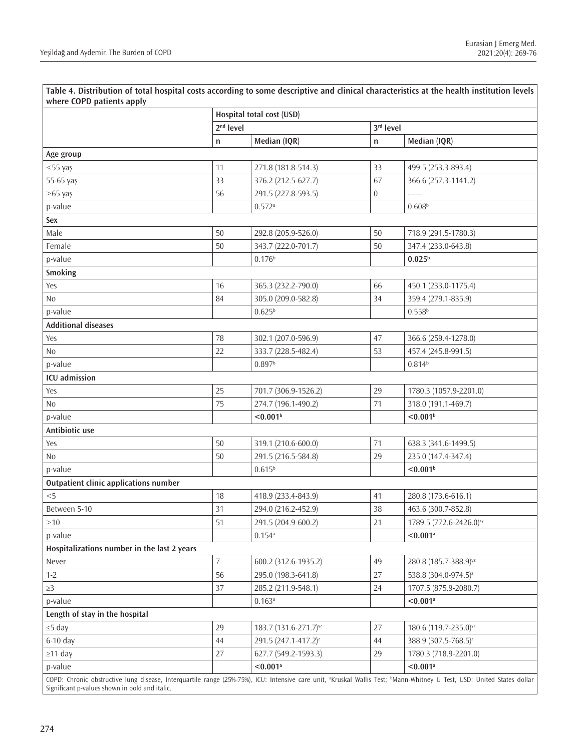**Table 4. Distribution of total hospital costs according to some descriptive and clinical characteristics at the health institution levels where COPD patients apply**

| WHERE CUT D DATICITIES APPLY                                                                                                                                                                   |                                                    |                                   |                  |                                     |  |
|------------------------------------------------------------------------------------------------------------------------------------------------------------------------------------------------|----------------------------------------------------|-----------------------------------|------------------|-------------------------------------|--|
|                                                                                                                                                                                                | Hospital total cost (USD)<br>2 <sup>nd</sup> level |                                   | 3rd level        |                                     |  |
|                                                                                                                                                                                                |                                                    | Median (IQR)                      |                  |                                     |  |
|                                                                                                                                                                                                | n                                                  |                                   | $\mathsf{n}$     | Median (IQR)                        |  |
| Age group                                                                                                                                                                                      | 11                                                 |                                   | 33               |                                     |  |
| $<$ 55 yaş                                                                                                                                                                                     |                                                    | 271.8 (181.8-514.3)               |                  | 499.5 (253.3-893.4)                 |  |
| 55-65 yaş                                                                                                                                                                                      | 33                                                 | 376.2 (212.5-627.7)               | 67               | 366.6 (257.3-1141.2)                |  |
| $>65$ yaş                                                                                                                                                                                      | 56                                                 | 291.5 (227.8-593.5)               | $\boldsymbol{0}$ | ------                              |  |
| p-value                                                                                                                                                                                        |                                                    | $0.572$ <sup>a</sup>              |                  | 0.608 <sup>b</sup>                  |  |
| Sex                                                                                                                                                                                            |                                                    |                                   |                  |                                     |  |
| Male                                                                                                                                                                                           | 50                                                 | 292.8 (205.9-526.0)               | 50               | 718.9 (291.5-1780.3)                |  |
| Female                                                                                                                                                                                         | 50                                                 | 343.7 (222.0-701.7)               | 50               | 347.4 (233.0-643.8)                 |  |
| p-value                                                                                                                                                                                        |                                                    | 0.176 <sup>b</sup>                |                  | $0.025^{b}$                         |  |
| Smoking                                                                                                                                                                                        |                                                    |                                   |                  |                                     |  |
| Yes                                                                                                                                                                                            | 16                                                 | 365.3 (232.2-790.0)               | 66               | 450.1 (233.0-1175.4)                |  |
| N <sub>0</sub>                                                                                                                                                                                 | 84                                                 | 305.0 (209.0-582.8)               | 34               | 359.4 (279.1-835.9)                 |  |
| p-value                                                                                                                                                                                        |                                                    | $0.625^{b}$                       |                  | $0.558^{b}$                         |  |
| <b>Additional diseases</b>                                                                                                                                                                     |                                                    |                                   |                  |                                     |  |
| Yes                                                                                                                                                                                            | 78                                                 | 302.1 (207.0-596.9)               | 47               | 366.6 (259.4-1278.0)                |  |
| N <sub>0</sub>                                                                                                                                                                                 | 22                                                 | 333.7 (228.5-482.4)               | 53               | 457.4 (245.8-991.5)                 |  |
| p-value                                                                                                                                                                                        |                                                    | 0.897 <sup>b</sup>                |                  | $0.814^{b}$                         |  |
| ICU admission                                                                                                                                                                                  |                                                    |                                   |                  |                                     |  |
| Yes                                                                                                                                                                                            | 25                                                 | 701.7 (306.9-1526.2)              | 29               | 1780.3 (1057.9-2201.0)              |  |
| N <sub>0</sub>                                                                                                                                                                                 | 75                                                 | 274.7 (196.1-490.2)               | 71               | 318.0 (191.1-469.7)                 |  |
| p-value                                                                                                                                                                                        |                                                    | < 0.001 <sup>b</sup>              |                  | < 0.001 <sup>b</sup>                |  |
| Antibiotic use                                                                                                                                                                                 |                                                    |                                   |                  |                                     |  |
| Yes                                                                                                                                                                                            | 50                                                 | 319.1 (210.6-600.0)               | 71               | 638.3 (341.6-1499.5)                |  |
| N <sub>0</sub>                                                                                                                                                                                 | 50                                                 | 291.5 (216.5-584.8)               | 29               | 235.0 (147.4-347.4)                 |  |
| p-value                                                                                                                                                                                        |                                                    | $0.615^{b}$                       |                  | < 0.001 <sup>b</sup>                |  |
| Outpatient clinic applications number                                                                                                                                                          |                                                    |                                   |                  |                                     |  |
| $<$ 5                                                                                                                                                                                          | 18                                                 | 418.9 (233.4-843.9)               | 41               | 280.8 (173.6-616.1)                 |  |
| Between 5-10                                                                                                                                                                                   | 31                                                 | 294.0 (216.2-452.9)               | 38               | 463.6 (300.7-852.8)                 |  |
| >10                                                                                                                                                                                            | 51                                                 | 291.5 (204.9-600.2)               | 21               | 1789.5 (772.6-2426.0) <sup>xy</sup> |  |
| p-value                                                                                                                                                                                        |                                                    | $0.154$ <sup>a</sup>              |                  | $< 0.001$ <sup>a</sup>              |  |
| Hospitalizations number in the last 2 years                                                                                                                                                    |                                                    |                                   |                  |                                     |  |
| Never                                                                                                                                                                                          | 7                                                  | 600.2 (312.6-1935.2)              | 49               | 280.8 (185.7-388.9) <sup>yz</sup>   |  |
| $1 - 2$                                                                                                                                                                                        | 56                                                 | 295.0 (198.3-641.8)               | 27               | 538.8 (304.0-974.5) <sup>z</sup>    |  |
| $\geq$ 3                                                                                                                                                                                       | 37                                                 | 285.2 (211.9-548.1)               | 24               | 1707.5 (875.9-2080.7)               |  |
| p-value                                                                                                                                                                                        |                                                    | $0.163$ <sup>a</sup>              |                  | $< 0.001$ <sup>a</sup>              |  |
| Length of stay in the hospital                                                                                                                                                                 |                                                    |                                   |                  |                                     |  |
| $\leq$ 5 day                                                                                                                                                                                   | 29                                                 | 183.7 (131.6-271.7) <sup>yz</sup> | 27               | 180.6 (119.7-235.0) <sup>yz</sup>   |  |
| 6-10 day                                                                                                                                                                                       | 44                                                 | 291.5 (247.1-417.2) <sup>z</sup>  | 44               | 388.9 (307.5-768.5) <sup>z</sup>    |  |
| $\geq$ 11 day                                                                                                                                                                                  | 27                                                 | 627.7 (549.2-1593.3)              | 29               | 1780.3 (718.9-2201.0)               |  |
| p-value                                                                                                                                                                                        |                                                    | $< 0.001$ <sup>a</sup>            |                  | $< 0.001$ <sup>a</sup>              |  |
| COPD: Chronic obstructive lung disease, Interquartile range (25%-75%), ICU: Intensive care unit, <sup>a</sup> Kruskal Wallis Test; <sup>b</sup> Mann-Whitney U Test, USD: United States dollar |                                                    |                                   |                  |                                     |  |
| Significant p-values shown in bold and italic.                                                                                                                                                 |                                                    |                                   |                  |                                     |  |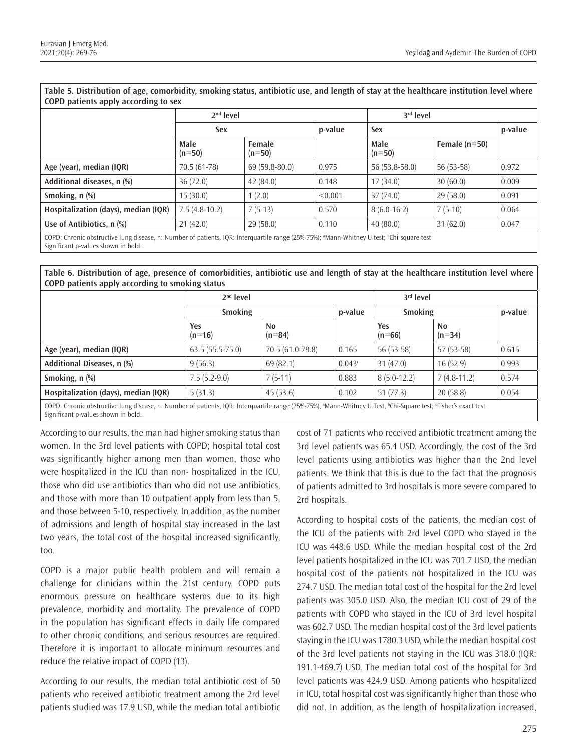| Table 9. Distribution of age, comotionity, showing status, antibiotic use, and religin of stay at the manneare mstrution level where<br>COPD patients apply according to sex                                                                                                                                                                                                                                                            |                  |                    |         |                  |                 |         |  |  |
|-----------------------------------------------------------------------------------------------------------------------------------------------------------------------------------------------------------------------------------------------------------------------------------------------------------------------------------------------------------------------------------------------------------------------------------------|------------------|--------------------|---------|------------------|-----------------|---------|--|--|
|                                                                                                                                                                                                                                                                                                                                                                                                                                         | $2nd$ level      |                    |         | $3rd$ level      |                 |         |  |  |
|                                                                                                                                                                                                                                                                                                                                                                                                                                         | Sex              |                    | p-value | Sex              |                 | p-value |  |  |
|                                                                                                                                                                                                                                                                                                                                                                                                                                         | Male<br>$(n=50)$ | Female<br>$(n=50)$ |         | Male<br>$(n=50)$ | Female $(n=50)$ |         |  |  |
| Age (year), median (IQR)                                                                                                                                                                                                                                                                                                                                                                                                                | 70.5 (61-78)     | $69(59.8-80.0)$    | 0.975   | 56 (53.8-58.0)   | $56(53-58)$     | 0.972   |  |  |
| Additional diseases, n (%)                                                                                                                                                                                                                                                                                                                                                                                                              | 36(72.0)         | 42(84.0)           | 0.148   | 17(34.0)         | 30(60.0)        | 0.009   |  |  |
| Smoking, n (%)                                                                                                                                                                                                                                                                                                                                                                                                                          | 15(30.0)         | 1(2.0)             | < 0.001 | 37(74.0)         | 29(58.0)        | 0.091   |  |  |
| Hospitalization (days), median (IQR)                                                                                                                                                                                                                                                                                                                                                                                                    | $7.5(4.8-10.2)$  | $7(5-13)$          | 0.570   | $8(6.0-16.2)$    | $7(5-10)$       | 0.064   |  |  |
| Use of Antibiotics, n (%)                                                                                                                                                                                                                                                                                                                                                                                                               | 21(42.0)         | 29(58.0)           | 0.110   | 40(80.0)         | 31(62.0)        | 0.047   |  |  |
| the contract of the contract of the contract of the contract of the contract of the contract of the contract of<br>$\mathbf{r}$ . The contract of the contract of the contract of the contract of the contract of the contract of the contract of the contract of the contract of the contract of the contract of the contract of the contract of th<br>and a health<br>$(2 - 2)$ $-2 - 2$<br>$\sim$ $\sim$ $\sim$ $\sim$ $\sim$ $\sim$ |                  |                    |         |                  |                 |         |  |  |

**Table 5. Distribution of age, comorbidity, smoking status, antibiotic use, and length of stay at the healthcare institution level where** 

COPD: Chronic obstructive lung disease, n: Number of patients, IQR: Interquartile range (25%-75%); ªMann-Whitney U test; ʰChi-square test Significant p-values shown in bold.

**Table 6. Distribution of age, presence of comorbidities, antibiotic use and length of stay at the healthcare institution level where COPD patients apply according to smoking status**

|                                                                                                                                                                                         | $2nd$ level       |                  | $3rd$ level |                        |                            |         |
|-----------------------------------------------------------------------------------------------------------------------------------------------------------------------------------------|-------------------|------------------|-------------|------------------------|----------------------------|---------|
|                                                                                                                                                                                         | <b>Smoking</b>    |                  | p-value     | <b>Smoking</b>         |                            | p-value |
|                                                                                                                                                                                         | Yes<br>$(n=16)$   | No<br>$(n=84)$   |             | <b>Yes</b><br>$(n=66)$ | N <sub>0</sub><br>$(n=34)$ |         |
| Age (year), median (IQR)                                                                                                                                                                | $63.5(55.5-75.0)$ | 70.5 (61.0-79.8) | 0.165       | 56 (53-58)             | $57(53-58)$                | 0.615   |
| Additional Diseases, n (%)                                                                                                                                                              | 9(56.3)           | 69(82.1)         | 0.043c      | 31(47.0)               | 16(52.9)                   | 0.993   |
| Smoking, $n$ $%$                                                                                                                                                                        | $7.5(5.2-9.0)$    | $7(5-11)$        | 0.883       | $8(5.0-12.2)$          | $7(4.8-11.2)$              | 0.574   |
| Hospitalization (days), median (IQR)                                                                                                                                                    | 5(31.3)           | 45(53.6)         | 0.102       | 51(77.3)               | 20(58.8)                   | 0.054   |
| COPD: Chronic obstructive lung disease, n: Number of patients, IQR: Interquartile range (25%-75%), <sup>a</sup> Mann-Whitney U Test, <sup>b</sup> Chi-Square test; 'Fisher's exact test |                   |                  |             |                        |                            |         |

Significant p-values shown in bold.

According to our results, the man had higher smoking status than women. In the 3rd level patients with COPD; hospital total cost was significantly higher among men than women, those who were hospitalized in the ICU than non- hospitalized in the ICU, those who did use antibiotics than who did not use antibiotics, and those with more than 10 outpatient apply from less than 5, and those between 5-10, respectively. In addition, as the number of admissions and length of hospital stay increased in the last two years, the total cost of the hospital increased significantly, too.

COPD is a major public health problem and will remain a challenge for clinicians within the 21st century. COPD puts enormous pressure on healthcare systems due to its high prevalence, morbidity and mortality. The prevalence of COPD in the population has significant effects in daily life compared to other chronic conditions, and serious resources are required. Therefore it is important to allocate minimum resources and reduce the relative impact of COPD (13).

According to our results, the median total antibiotic cost of 50 patients who received antibiotic treatment among the 2rd level patients studied was 17.9 USD, while the median total antibiotic cost of 71 patients who received antibiotic treatment among the 3rd level patients was 65.4 USD. Accordingly, the cost of the 3rd level patients using antibiotics was higher than the 2nd level patients. We think that this is due to the fact that the prognosis of patients admitted to 3rd hospitals is more severe compared to 2rd hospitals.

According to hospital costs of the patients, the median cost of the ICU of the patients with 2rd level COPD who stayed in the ICU was 448.6 USD. While the median hospital cost of the 2rd level patients hospitalized in the ICU was 701.7 USD, the median hospital cost of the patients not hospitalized in the ICU was 274.7 USD. The median total cost of the hospital for the 2rd level patients was 305.0 USD. Also, the median ICU cost of 29 of the patients with COPD who stayed in the ICU of 3rd level hospital was 602.7 USD. The median hospital cost of the 3rd level patients staying in the ICU was 1780.3 USD, while the median hospital cost of the 3rd level patients not staying in the ICU was 318.0 (IQR: 191.1-469.7) USD. The median total cost of the hospital for 3rd level patients was 424.9 USD. Among patients who hospitalized in ICU, total hospital cost was significantly higher than those who did not. In addition, as the length of hospitalization increased,